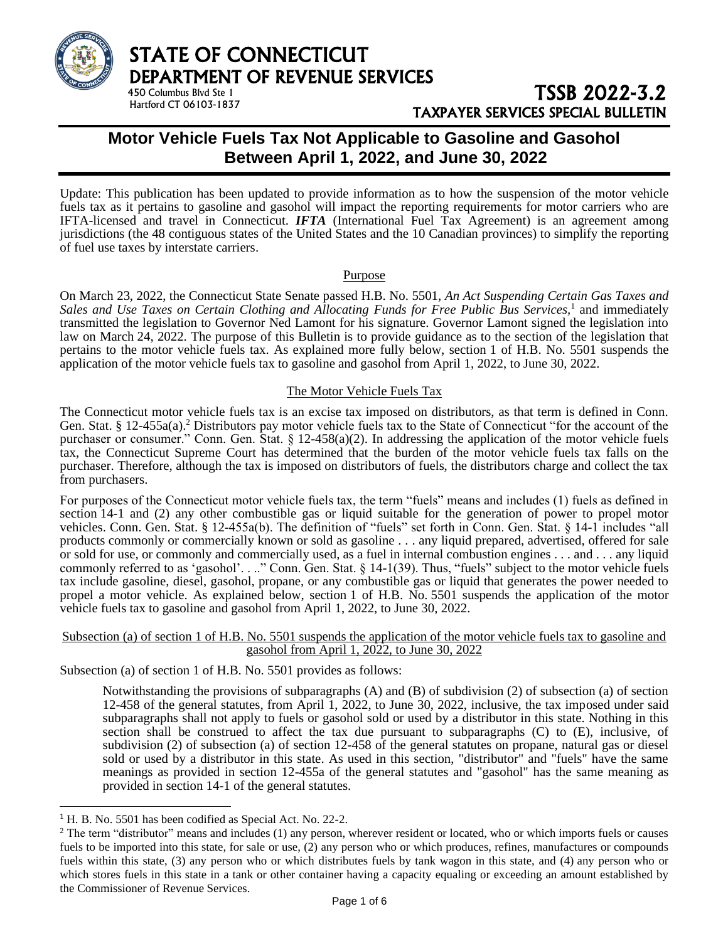

## TSSB 2022-3.2 TAXPAYER SERVICES SPECIAL BULLETIN

## **Motor Vehicle Fuels Tax Not Applicable to Gasoline and Gasohol Between April 1, 2022, and June 30, 2022**

Update: This publication has been updated to provide information as to how the suspension of the motor vehicle fuels tax as it pertains to gasoline and gasohol will impact the reporting requirements for motor carriers who are IFTA-licensed and travel in Connecticut. *IFTA* (International Fuel Tax Agreement) is an agreement among jurisdictions (the 48 contiguous states of the United States and the 10 Canadian provinces) to simplify the reporting of fuel use taxes by interstate carriers.

### Purpose

On March 23, 2022, the Connecticut State Senate passed H.B. No. 5501, *An Act Suspending Certain Gas Taxes and Sales and Use Taxes on Certain Clothing and Allocating Funds for Free Public Bus Services,*<sup>1</sup> and immediately transmitted the legislation to Governor Ned Lamont for his signature. Governor Lamont signed the legislation into law on March 24, 2022. The purpose of this Bulletin is to provide guidance as to the section of the legislation that pertains to the motor vehicle fuels tax. As explained more fully below, section 1 of H.B. No. 5501 suspends the application of the motor vehicle fuels tax to gasoline and gasohol from April 1, 2022, to June 30, 2022.

#### The Motor Vehicle Fuels Tax

The Connecticut motor vehicle fuels tax is an excise tax imposed on distributors, as that term is defined in Conn. Gen. Stat. § 12-455a(a).<sup>2</sup> Distributors pay motor vehicle fuels tax to the State of Connecticut "for the account of the purchaser or consumer." Conn. Gen. Stat. § 12-458(a)(2). In addressing the application of the motor vehicle fuels tax, the Connecticut Supreme Court has determined that the burden of the motor vehicle fuels tax falls on the purchaser. Therefore, although the tax is imposed on distributors of fuels, the distributors charge and collect the tax from purchasers.

For purposes of the Connecticut motor vehicle fuels tax, the term "fuels" means and includes (1) fuels as defined in section 14-1 and (2) any other combustible gas or liquid suitable for the generation of power to propel motor vehicles. Conn. Gen. Stat. § 12-455a(b). The definition of "fuels" set forth in Conn. Gen. Stat. § 14-1 includes "all products commonly or commercially known or sold as gasoline . . . any liquid prepared, advertised, offered for sale or sold for use, or commonly and commercially used, as a fuel in internal combustion engines . . . and . . . any liquid commonly referred to as 'gasohol'. . .." Conn. Gen. Stat. § 14-1(39). Thus, "fuels" subject to the motor vehicle fuels tax include gasoline, diesel, gasohol, propane, or any combustible gas or liquid that generates the power needed to propel a motor vehicle. As explained below, section 1 of H.B. No. 5501 suspends the application of the motor vehicle fuels tax to gasoline and gasohol from April 1, 2022, to June 30, 2022.

#### Subsection (a) of section 1 of H.B. No. 5501 suspends the application of the motor vehicle fuels tax to gasoline and gasohol from April 1, 2022, to June 30, 2022

Subsection (a) of section 1 of H.B. No. 5501 provides as follows:

Notwithstanding the provisions of subparagraphs (A) and (B) of subdivision (2) of subsection (a) of section 12-458 of the general statutes, from April 1, 2022, to June 30, 2022, inclusive, the tax imposed under said subparagraphs shall not apply to fuels or gasohol sold or used by a distributor in this state. Nothing in this section shall be construed to affect the tax due pursuant to subparagraphs (C) to (E), inclusive, of subdivision (2) of subsection (a) of section 12-458 of the general statutes on propane, natural gas or diesel sold or used by a distributor in this state. As used in this section, "distributor" and "fuels" have the same meanings as provided in section 12-455a of the general statutes and "gasohol" has the same meaning as provided in section 14-1 of the general statutes.

<sup>&</sup>lt;sup>1</sup> H. B. No. 5501 has been codified as Special Act. No. 22-2.

 $2$  The term "distributor" means and includes (1) any person, wherever resident or located, who or which imports fuels or causes fuels to be imported into this state, for sale or use, (2) any person who or which produces, refines, manufactures or compounds fuels within this state, (3) any person who or which distributes fuels by tank wagon in this state, and (4) any person who or which stores fuels in this state in a tank or other container having a capacity equaling or exceeding an amount established by the Commissioner of Revenue Services.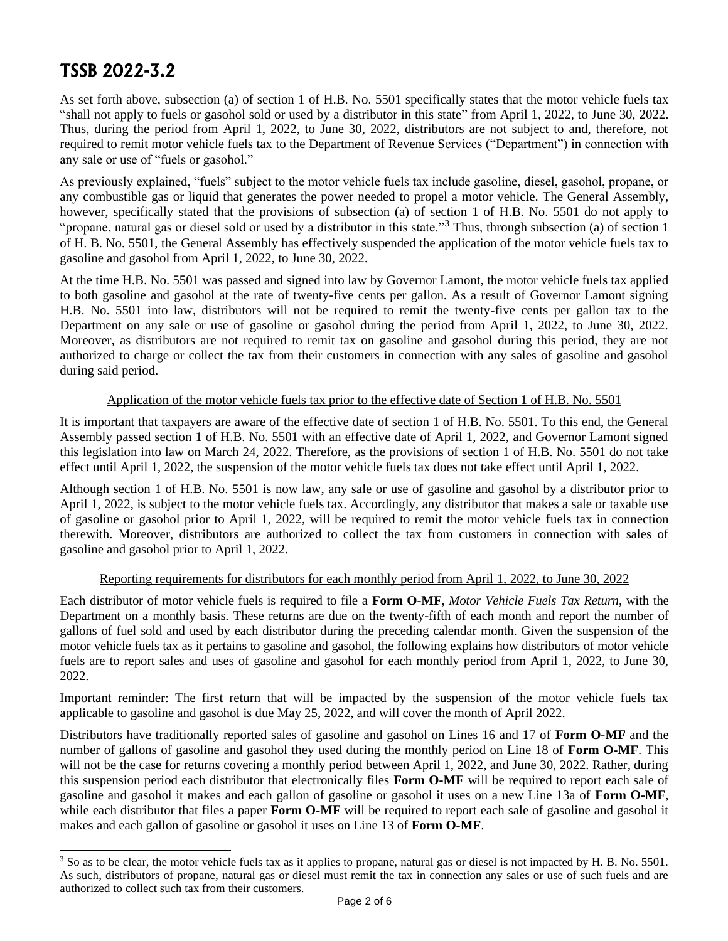As set forth above, subsection (a) of section 1 of H.B. No. 5501 specifically states that the motor vehicle fuels tax "shall not apply to fuels or gasohol sold or used by a distributor in this state" from April 1, 2022, to June 30, 2022. Thus, during the period from April 1, 2022, to June 30, 2022, distributors are not subject to and, therefore, not required to remit motor vehicle fuels tax to the Department of Revenue Services ("Department") in connection with any sale or use of "fuels or gasohol."

As previously explained, "fuels" subject to the motor vehicle fuels tax include gasoline, diesel, gasohol, propane, or any combustible gas or liquid that generates the power needed to propel a motor vehicle. The General Assembly, however, specifically stated that the provisions of subsection (a) of section 1 of H.B. No. 5501 do not apply to "propane, natural gas or diesel sold or used by a distributor in this state."<sup>3</sup> Thus, through subsection (a) of section 1 of H. B. No. 5501, the General Assembly has effectively suspended the application of the motor vehicle fuels tax to gasoline and gasohol from April 1, 2022, to June 30, 2022.

At the time H.B. No. 5501 was passed and signed into law by Governor Lamont, the motor vehicle fuels tax applied to both gasoline and gasohol at the rate of twenty-five cents per gallon. As a result of Governor Lamont signing H.B. No. 5501 into law, distributors will not be required to remit the twenty-five cents per gallon tax to the Department on any sale or use of gasoline or gasohol during the period from April 1, 2022, to June 30, 2022. Moreover, as distributors are not required to remit tax on gasoline and gasohol during this period, they are not authorized to charge or collect the tax from their customers in connection with any sales of gasoline and gasohol during said period.

#### Application of the motor vehicle fuels tax prior to the effective date of Section 1 of H.B. No. 5501

It is important that taxpayers are aware of the effective date of section 1 of H.B. No. 5501. To this end, the General Assembly passed section 1 of H.B. No. 5501 with an effective date of April 1, 2022, and Governor Lamont signed this legislation into law on March 24, 2022. Therefore, as the provisions of section 1 of H.B. No. 5501 do not take effect until April 1, 2022, the suspension of the motor vehicle fuels tax does not take effect until April 1, 2022.

Although section 1 of H.B. No. 5501 is now law, any sale or use of gasoline and gasohol by a distributor prior to April 1, 2022, is subject to the motor vehicle fuels tax. Accordingly, any distributor that makes a sale or taxable use of gasoline or gasohol prior to April 1, 2022, will be required to remit the motor vehicle fuels tax in connection therewith. Moreover, distributors are authorized to collect the tax from customers in connection with sales of gasoline and gasohol prior to April 1, 2022.

### Reporting requirements for distributors for each monthly period from April 1, 2022, to June 30, 2022

Each distributor of motor vehicle fuels is required to file a **Form O-MF**, *Motor Vehicle Fuels Tax Return*, with the Department on a monthly basis. These returns are due on the twenty-fifth of each month and report the number of gallons of fuel sold and used by each distributor during the preceding calendar month. Given the suspension of the motor vehicle fuels tax as it pertains to gasoline and gasohol, the following explains how distributors of motor vehicle fuels are to report sales and uses of gasoline and gasohol for each monthly period from April 1, 2022, to June 30, 2022.

Important reminder: The first return that will be impacted by the suspension of the motor vehicle fuels tax applicable to gasoline and gasohol is due May 25, 2022, and will cover the month of April 2022.

Distributors have traditionally reported sales of gasoline and gasohol on Lines 16 and 17 of **Form O-MF** and the number of gallons of gasoline and gasohol they used during the monthly period on Line 18 of **Form O-MF**. This will not be the case for returns covering a monthly period between April 1, 2022, and June 30, 2022. Rather, during this suspension period each distributor that electronically files **Form O-MF** will be required to report each sale of gasoline and gasohol it makes and each gallon of gasoline or gasohol it uses on a new Line 13a of **Form O-MF**, while each distributor that files a paper **Form O-MF** will be required to report each sale of gasoline and gasohol it makes and each gallon of gasoline or gasohol it uses on Line 13 of **Form O-MF**.

 $3$  So as to be clear, the motor vehicle fuels tax as it applies to propane, natural gas or diesel is not impacted by H. B. No. 5501. As such, distributors of propane, natural gas or diesel must remit the tax in connection any sales or use of such fuels and are authorized to collect such tax from their customers.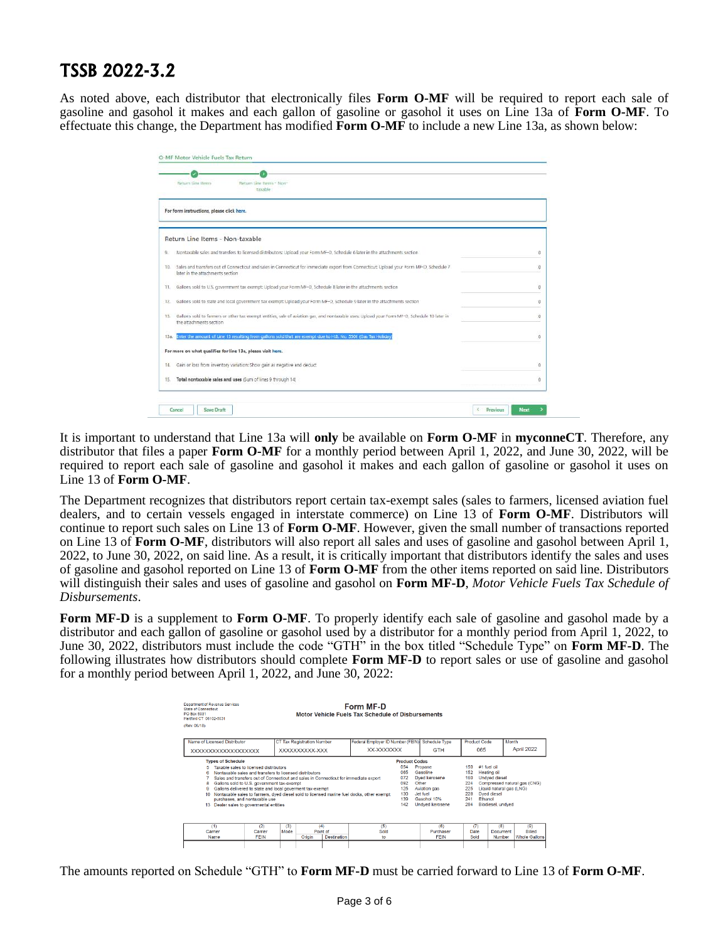As noted above, each distributor that electronically files **Form O-MF** will be required to report each sale of gasoline and gasohol it makes and each gallon of gasoline or gasohol it uses on Line 13a of **Form O-MF**. To effectuate this change, the Department has modified **Form O-MF** to include a new Line 13a, as shown below:

| Return Line Items                                           | Return Line Items - Non-<br>taxable                                                                                                          |            |
|-------------------------------------------------------------|----------------------------------------------------------------------------------------------------------------------------------------------|------------|
| For form instructions, please click here.                   |                                                                                                                                              |            |
| Return Line Items - Non-taxable                             |                                                                                                                                              |            |
| B                                                           | Nontaxable sales and transfers to licensed distributors: Upload your Form MF-D, Schedule 6 later in the attachments section                  | Ü          |
| TO.<br>later in the attachments section                     | Sales and transfers out of Connecticut and sales in Connecticut for immediate export from Connecticut: Upload your Form MF-D, Schedule 7     | $^{\circ}$ |
| 11.                                                         | Gallons sold to U.S. government tax exempt: Upload your Form MF-D, Schedule 8 later in the attachments section                               | o          |
| 12.                                                         | Gallons sold to state and local government tax exempt: Upload your Form MF-D. Schedule 9 later in the attachments section                    | Ü          |
| 13.<br>the attachments section                              | Gallons sold to farmers or other tax exempt entities, sale of aviation gas, and nontaxable uses: Upload your Form MF-D. Schedule 10 later in | o          |
| 13a                                                         | Enter the amount of Line 13 resulting from gallons sold that are exempt due to H.B. No. 5501 (Gas Tax Holiday                                | 0          |
| For more on what qualifies for line 13a, please visit here. |                                                                                                                                              |            |
| 14.                                                         | Gain or loss from inventory variation: Show gain as negative and deduct                                                                      | o          |
| 15.                                                         | Total nontaxable sales and uses (Sum of lines 9 through 14)                                                                                  | o          |

It is important to understand that Line 13a will **only** be available on **Form O-MF** in **myconneCT**. Therefore, any distributor that files a paper **Form O-MF** for a monthly period between April 1, 2022, and June 30, 2022, will be required to report each sale of gasoline and gasohol it makes and each gallon of gasoline or gasohol it uses on Line 13 of **Form O-MF**.

The Department recognizes that distributors report certain tax-exempt sales (sales to farmers, licensed aviation fuel dealers, and to certain vessels engaged in interstate commerce) on Line 13 of **Form O-MF**. Distributors will continue to report such sales on Line 13 of **Form O-MF**. However, given the small number of transactions reported on Line 13 of **Form O-MF**, distributors will also report all sales and uses of gasoline and gasohol between April 1, 2022, to June 30, 2022, on said line. As a result, it is critically important that distributors identify the sales and uses of gasoline and gasohol reported on Line 13 of **Form O-MF** from the other items reported on said line. Distributors will distinguish their sales and uses of gasoline and gasohol on **Form MF-D**, *Motor Vehicle Fuels Tax Schedule of Disbursements*.

**Form MF-D** is a supplement to **Form O-MF**. To properly identify each sale of gasoline and gasohol made by a distributor and each gallon of gasoline or gasohol used by a distributor for a monthly period from April 1, 2022, to June 30, 2022, distributors must include the code "GTH" in the box titled "Schedule Type" on **Form MF-D**. The following illustrates how distributors should complete **Form MF-D** to report sales or use of gasoline and gasohol for a monthly period between April 1, 2022, and June 30, 2022:

| Department of Revenue Services<br>State of Connecticut<br>PO Box 5031<br>Hartford CT 06102-5031                                                                                                                                                                                                                                                    |                                                                                      | Form MF-D<br>Motor Vehicle Fuels Tax Schedule of Disbursements                            |                                                                              |                                                                                                             |                                                                        |                                                                                                                    |                                              |
|----------------------------------------------------------------------------------------------------------------------------------------------------------------------------------------------------------------------------------------------------------------------------------------------------------------------------------------------------|--------------------------------------------------------------------------------------|-------------------------------------------------------------------------------------------|------------------------------------------------------------------------------|-------------------------------------------------------------------------------------------------------------|------------------------------------------------------------------------|--------------------------------------------------------------------------------------------------------------------|----------------------------------------------|
| (Rev. 06/18)                                                                                                                                                                                                                                                                                                                                       |                                                                                      |                                                                                           |                                                                              |                                                                                                             |                                                                        |                                                                                                                    |                                              |
| Name of Licensed Distributor                                                                                                                                                                                                                                                                                                                       | <b>CT Tax Registration Number</b>                                                    | Federal Employer ID Number (FEIN)                                                         |                                                                              | Schedule Type                                                                                               | Product Code                                                           | Month                                                                                                              |                                              |
| XXXXXXXXXXXXXXXXXXX                                                                                                                                                                                                                                                                                                                                | XXXXXXXXXX-XXX                                                                       | XX-XXXXXXX                                                                                |                                                                              | <b>GTH</b>                                                                                                  | 065                                                                    |                                                                                                                    | April 2022                                   |
| <b>Types of Schedule</b><br>Taxable sales to licensed distributors.<br>Nontaxable sales and transfers to licensed distributors<br>Gallons sold to U.S. government tax-exempt<br>8<br>Gallons delivered to state and local governent tax-exempt<br>я<br>10 <sup>1</sup><br>purchases, and nontaxable use<br>13 Dealer sales to govermental entities | Sales and transfers out of Connecticut and sales in Connecticut for immediate export | Nontaxable sales to farmers, dved diesel sold to licensed marine fuel docks, other exempt | <b>Product Codes</b><br>054<br>065<br>072<br>092<br>125<br>130<br>139<br>142 | Propane<br>Gasoline<br>Dyed kerosene<br>Other<br>Aviation gas<br>Jet fuel<br>Gasobol 10%<br>Undyed kerosene | 150<br>152<br>160<br>224<br>225<br>228<br>241<br><b>Fthanol</b><br>284 | #1 fuel oil<br>Heating oil<br><b>Undyed diesel</b><br>Liquid natural gas (LNG)<br>Dved diesel<br>Biodiesel, undyed | Compressed natural gas (CNG)                 |
| (1)<br>(2)<br>Carrier<br>Carrier<br><b>FEIN</b><br>Name                                                                                                                                                                                                                                                                                            | (3)<br>(4)<br>Mode<br>Point of<br>Origin                                             | (5)<br>Sold<br>Destination<br>to                                                          |                                                                              | (6)<br>Purchaser<br><b>FEIN</b>                                                                             | (7)<br>Date<br>Sold                                                    | (8)<br>Document<br>Number                                                                                          | (9)<br><b>Billed</b><br><b>Whole Gallons</b> |
|                                                                                                                                                                                                                                                                                                                                                    |                                                                                      |                                                                                           |                                                                              |                                                                                                             |                                                                        |                                                                                                                    |                                              |

The amounts reported on Schedule "GTH" to **Form MF-D** must be carried forward to Line 13 of **Form O-MF**.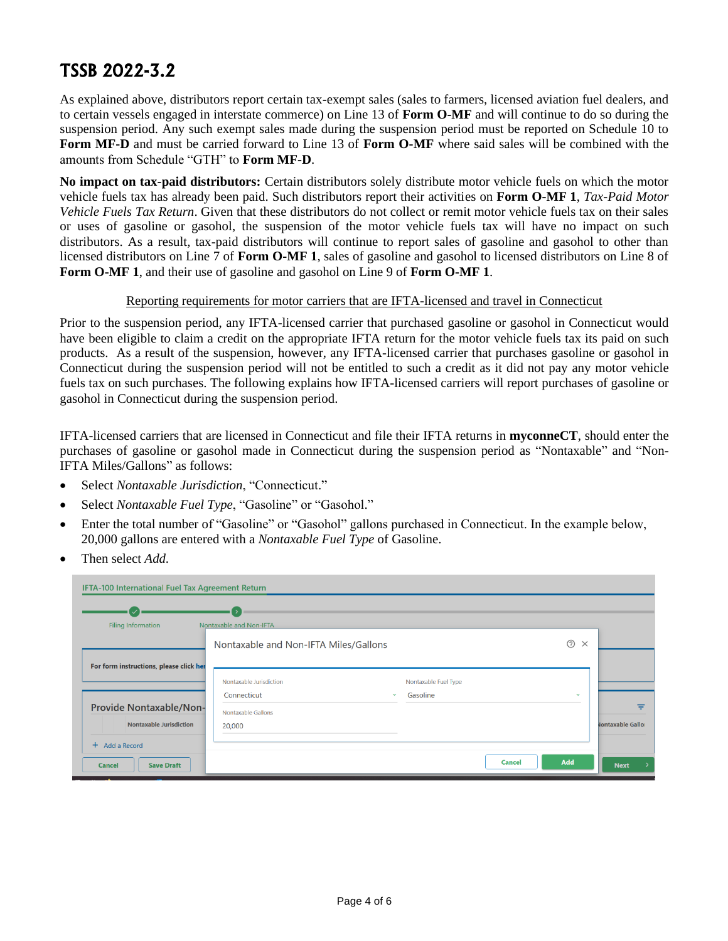As explained above, distributors report certain tax-exempt sales (sales to farmers, licensed aviation fuel dealers, and to certain vessels engaged in interstate commerce) on Line 13 of **Form O-MF** and will continue to do so during the suspension period. Any such exempt sales made during the suspension period must be reported on Schedule 10 to **Form MF-D** and must be carried forward to Line 13 of **Form O-MF** where said sales will be combined with the amounts from Schedule "GTH" to **Form MF-D**.

**No impact on tax-paid distributors:** Certain distributors solely distribute motor vehicle fuels on which the motor vehicle fuels tax has already been paid. Such distributors report their activities on **Form O-MF 1**, *Tax-Paid Motor Vehicle Fuels Tax Return*. Given that these distributors do not collect or remit motor vehicle fuels tax on their sales or uses of gasoline or gasohol, the suspension of the motor vehicle fuels tax will have no impact on such distributors. As a result, tax-paid distributors will continue to report sales of gasoline and gasohol to other than licensed distributors on Line 7 of **Form O-MF 1**, sales of gasoline and gasohol to licensed distributors on Line 8 of **Form O-MF 1**, and their use of gasoline and gasohol on Line 9 of **Form O-MF 1**.

### Reporting requirements for motor carriers that are IFTA-licensed and travel in Connecticut

Prior to the suspension period, any IFTA-licensed carrier that purchased gasoline or gasohol in Connecticut would have been eligible to claim a credit on the appropriate IFTA return for the motor vehicle fuels tax its paid on such products. As a result of the suspension, however, any IFTA-licensed carrier that purchases gasoline or gasohol in Connecticut during the suspension period will not be entitled to such a credit as it did not pay any motor vehicle fuels tax on such purchases. The following explains how IFTA-licensed carriers will report purchases of gasoline or gasohol in Connecticut during the suspension period.

IFTA-licensed carriers that are licensed in Connecticut and file their IFTA returns in **myconneCT**, should enter the purchases of gasoline or gasohol made in Connecticut during the suspension period as "Nontaxable" and "Non-IFTA Miles/Gallons" as follows:

- Select *Nontaxable Jurisdiction*, "Connecticut."
- Select *Nontaxable Fuel Type*, "Gasoline" or "Gasohol."
- Enter the total number of "Gasoline" or "Gasohol" gallons purchased in Connecticut. In the example below, 20,000 gallons are entered with a *Nontaxable Fuel Type* of Gasoline.
- Then select *Add*.

| IFTA-100 International Fuel Tax Agreement Return |                                                        |                                  |               |                         |                          |
|--------------------------------------------------|--------------------------------------------------------|----------------------------------|---------------|-------------------------|--------------------------|
|                                                  |                                                        |                                  |               |                         |                          |
| Filing Information                               | Nontaxable and Non-IFTA                                |                                  |               |                         |                          |
|                                                  | Nontaxable and Non-IFTA Miles/Gallons                  |                                  |               | $\circledR$<br>$\times$ |                          |
| For form instructions, please click her          |                                                        |                                  |               |                         |                          |
|                                                  | Nontaxable Jurisdiction<br>Connecticut<br>$\checkmark$ | Nontaxable Fuel Type<br>Gasoline |               | $\checkmark$            |                          |
| <b>Provide Nontaxable/Non-</b>                   | Nontaxable Gallons                                     |                                  |               |                         | ₹                        |
| <b>Nontaxable Jurisdiction</b>                   | 20,000                                                 |                                  |               |                         | <b>Jontaxable Gallor</b> |
| + Add a Record                                   |                                                        |                                  |               |                         |                          |
| <b>Cancel</b><br><b>Save Draft</b>               |                                                        |                                  | <b>Cancel</b> | <b>Add</b>              | <b>Next</b>              |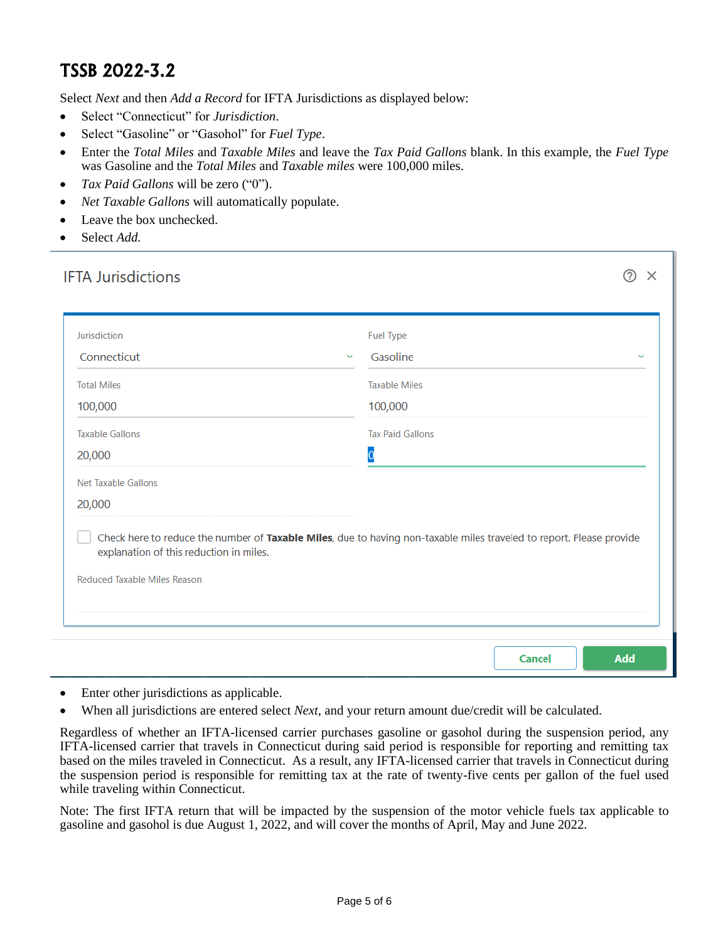Select *Next* and then *Add a Record* for IFTA Jurisdictions as displayed below:

- Select "Connecticut" for *Jurisdiction*.
- Select "Gasoline" or "Gasohol" for *Fuel Type*.
- Enter the *Total Miles* and *Taxable Miles* and leave the *Tax Paid Gallons* blank. In this example, the *Fuel Type* was Gasoline and the *Total Miles* and *Taxable miles* were 100,000 miles.
- *Tax Paid Gallons* will be zero ("0").
- *Net Taxable Gallons* will automatically populate.
- Leave the box unchecked.
- Select *Add.*

| Jurisdiction                                                                   | Fuel Type                                                                                                            |
|--------------------------------------------------------------------------------|----------------------------------------------------------------------------------------------------------------------|
| Connecticut                                                                    | Gasoline<br>$\checkmark$                                                                                             |
| <b>Total Miles</b>                                                             | <b>Taxable Miles</b>                                                                                                 |
| 100,000                                                                        | 100,000                                                                                                              |
| <b>Taxable Gallons</b>                                                         | <b>Tax Paid Gallons</b>                                                                                              |
| 20,000                                                                         |                                                                                                                      |
| Net Taxable Gallons                                                            |                                                                                                                      |
|                                                                                |                                                                                                                      |
| 20,000                                                                         |                                                                                                                      |
| explanation of this reduction in miles.<br><b>Reduced Taxable Miles Reason</b> | Check here to reduce the number of Taxable Miles, due to having non-taxable miles traveled to report. Please provide |

- Enter other jurisdictions as applicable.
- When all jurisdictions are entered select *Next*, and your return amount due/credit will be calculated.

Regardless of whether an IFTA-licensed carrier purchases gasoline or gasohol during the suspension period, any IFTA-licensed carrier that travels in Connecticut during said period is responsible for reporting and remitting tax based on the miles traveled in Connecticut. As a result, any IFTA-licensed carrier that travels in Connecticut during the suspension period is responsible for remitting tax at the rate of twenty-five cents per gallon of the fuel used while traveling within Connecticut.

Note: The first IFTA return that will be impacted by the suspension of the motor vehicle fuels tax applicable to gasoline and gasohol is due August 1, 2022, and will cover the months of April, May and June 2022.